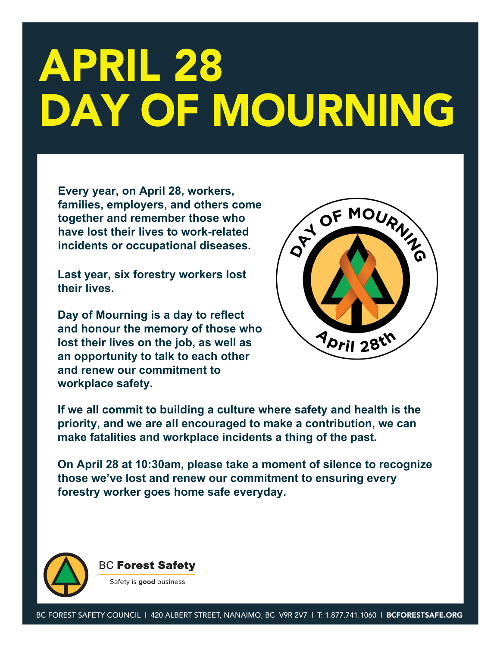## APRIL 28 DAY OF MOURNING

**Every year, on April 28, workers, families, employers, and others come together and remember those who have lost their lives to work-related incidents or occupational diseases.**

**Last year, six forestry workers lost their lives.** 

**Day of Mourning is a day to reflect and honour the memory of those who lost their lives on the job, as well as an opportunity to talk to each other and renew our commitment to workplace safety.**



**If we all commit to building a culture where safety and health is the priority, and we are all encouraged to make a contribution, we can make fatalities and workplace incidents a thing of the past.**

**On April 28 at 10:30am, please take a moment of silence to recognize those we've lost and renew our commitment to ensuring every forestry worker goes home safe everyday.**



**BC Forest Safety** 

Safety is good business